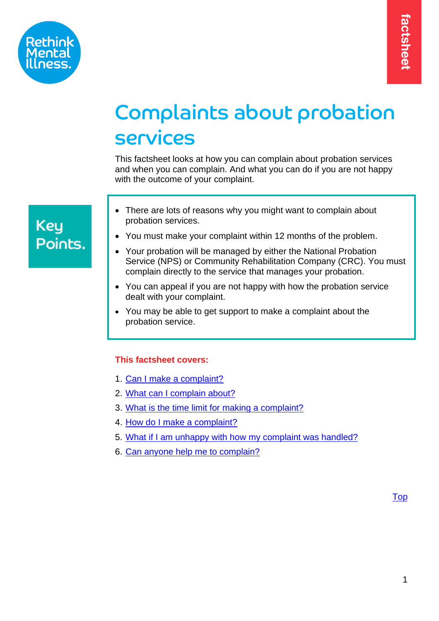

# Complaints about probation services

This factsheet looks at how you can complain about probation services and when you can complain. And what you can do if you are not happy with the outcome of your complaint.

# **Key** Points.

- There are lots of reasons why you might want to complain about probation services.
- You must make your complaint within 12 months of the problem.
- Your probation will be managed by either the National Probation Service (NPS) or Community Rehabilitation Company (CRC). You must complain directly to the service that manages your probation.
- You can appeal if you are not happy with how the probation service dealt with your complaint.
- You may be able to get support to make a complaint about the probation service.

# <span id="page-0-0"></span>**This factsheet covers:**

- 1. Can I [make a complaint?](#page-1-0)
- 2. [What can I complain about?](#page-1-1)
- 3. [What is the time limit for making a complaint?](#page-2-0)
- 4. How do I make a complaint?
- 5. What if I am unhappy with how my complaint was handled?
- 6. [Can anyone help me to complain?](#page-5-0)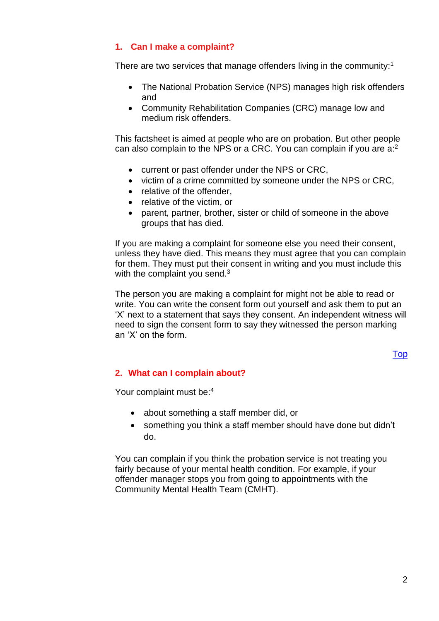# <span id="page-1-0"></span>**1. Can I make a complaint?**

There are two services that manage offenders living in the community:<sup>1</sup>

- The National Probation Service (NPS) manages high risk offenders and
- Community Rehabilitation Companies (CRC) manage low and medium risk offenders.

This factsheet is aimed at people who are on probation. But other people can also complain to the NPS or a CRC. You can complain if you are a:<sup>2</sup>

- current or past offender under the NPS or CRC,
- victim of a crime committed by someone under the NPS or CRC,
- relative of the offender.
- relative of the victim, or
- parent, partner, brother, sister or child of someone in the above groups that has died.

If you are making a complaint for someone else you need their consent, unless they have died. This means they must agree that you can complain for them. They must put their consent in writing and you must include this with the complaint you send.<sup>3</sup>

The person you are making a complaint for might not be able to read or write. You can write the consent form out yourself and ask them to put an 'X' next to a statement that says they consent. An independent witness will need to sign the consent form to say they witnessed the person marking an 'X' on the form.

[Top](#page-0-0)

### <span id="page-1-1"></span>**2. What can I complain about?**

Your complaint must be:<sup>4</sup>

- about something a staff member did, or
- something you think a staff member should have done but didn't do.

You can complain if you think the probation service is not treating you fairly because of your mental health condition. For example, if your offender manager stops you from going to appointments with the Community Mental Health Team (CMHT).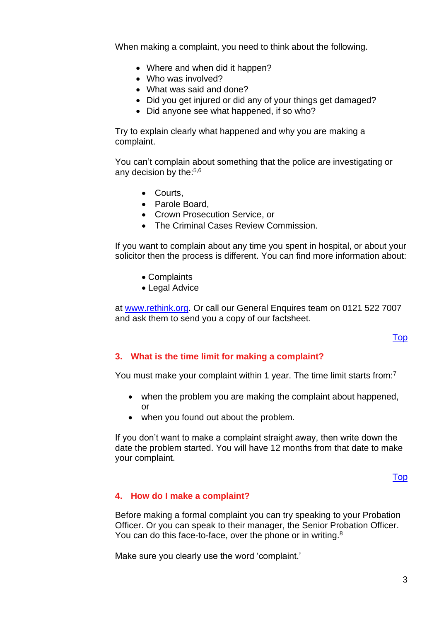When making a complaint, you need to think about the following.

- Where and when did it happen?
- Who was involved?
- What was said and done?
- Did you get injured or did any of your things get damaged?
- Did anyone see what happened, if so who?

Try to explain clearly what happened and why you are making a complaint.

You can't complain about something that the police are investigating or any decision by the: $5,6$ 

- Courts,
- Parole Board,
- Crown Prosecution Service, or
- The Criminal Cases Review Commission.

If you want to complain about any time you spent in hospital, or about your solicitor then the process is different. You can find more information about:

- Complaints
- Legal Advice

at [www.rethink.org.](http://www.rethink.org/) Or call our General Enquires team on 0121 522 7007 and ask them to send you a copy of our factsheet.

[Top](#page-0-0)

# <span id="page-2-0"></span>**3. What is the time limit for making a complaint?**

You must make your complaint within 1 year. The time limit starts from:<sup>7</sup>

- when the problem you are making the complaint about happened, or
- when you found out about the problem.

If you don't want to make a complaint straight away, then write down the date the problem started. You will have 12 months from that date to make your complaint.

[Top](#page-0-0)

# <span id="page-2-1"></span>**4. How do I make a complaint?**

Before making a formal complaint you can try speaking to your Probation Officer. Or you can speak to their manager, the Senior Probation Officer. You can do this face-to-face, over the phone or in writing.<sup>8</sup>

Make sure you clearly use the word 'complaint.'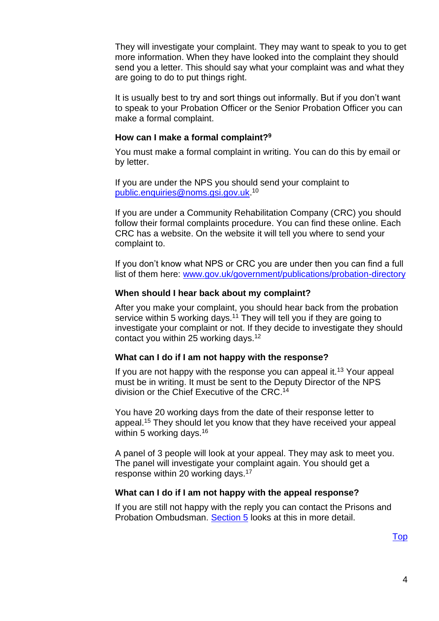They will investigate your complaint. They may want to speak to you to get more information. When they have looked into the complaint they should send you a letter. This should say what your complaint was and what they are going to do to put things right.

It is usually best to try and sort things out informally. But if you don't want to speak to your Probation Officer or the Senior Probation Officer you can make a formal complaint.

#### **How can I make a formal complaint? 9**

You must make a formal complaint in writing. You can do this by email or by letter.

If you are under the NPS you should send your complaint to [public.enquiries@noms.gsi.gov.uk.](mailto:public.enquiries@noms.gsi.gov.uk) 10

If you are under a Community Rehabilitation Company (CRC) you should follow their formal complaints procedure. You can find these online. Each CRC has a website. On the website it will tell you where to send your complaint to.

If you don't know what NPS or CRC you are under then you can find a full list of them here: [www.gov.uk/government/publications/probation-directory](http://www.gov.uk/government/publications/probation-directory)

#### **When should I hear back about my complaint?**

After you make your complaint, you should hear back from the probation service within 5 working days.<sup>11</sup> They will tell you if they are going to investigate your complaint or not. If they decide to investigate they should contact you within 25 working days.<sup>12</sup>

#### **What can I do if I am not happy with the response?**

If you are not happy with the response you can appeal it.<sup>13</sup> Your appeal must be in writing. It must be sent to the Deputy Director of the NPS division or the Chief Executive of the CRC.<sup>14</sup>

You have 20 working days from the date of their response letter to appeal.<sup>15</sup> They should let you know that they have received your appeal within 5 working days.<sup>16</sup>

A panel of 3 people will look at your appeal. They may ask to meet you. The panel will investigate your complaint again. You should get a response within 20 working days.<sup>17</sup>

#### **What can I do if I am not happy with the appeal response?**

If you are still not happy with the reply you can contact the Prisons and Probation Ombudsman. Section 5 looks at this in more detail.

[Top](#page-0-0)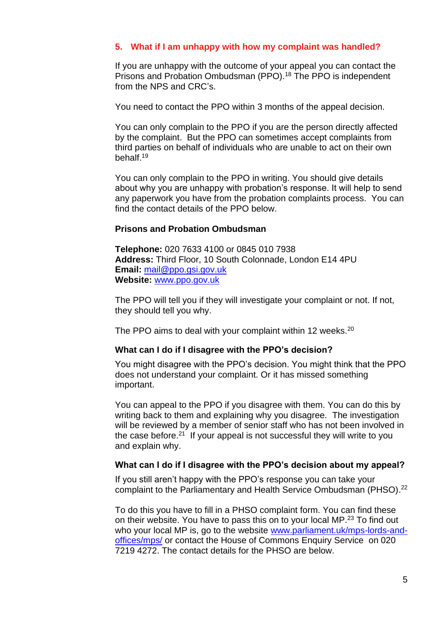# **5. What if I am unhappy with how my complaint was handled?**

If you are unhappy with the outcome of your appeal you can contact the Prisons and Probation Ombudsman (PPO).<sup>18</sup> The PPO is independent from the NPS and CRC's.

You need to contact the PPO within 3 months of the appeal decision.

You can only complain to the PPO if you are the person directly affected by the complaint. But the PPO can sometimes accept complaints from third parties on behalf of individuals who are unable to act on their own behalf. 19

You can only complain to the PPO in writing. You should give details about why you are unhappy with probation's response. It will help to send any paperwork you have from the probation complaints process. You can find the contact details of the PPO below.

#### **Prisons and Probation Ombudsman**

**Telephone:** 020 7633 4100 or 0845 010 7938 **Address:** Third Floor, 10 South Colonnade, London E14 4PU **Email:** [mail@ppo.gsi.gov.uk](mailto:mail@ppo.gsi.gov.uk) **Website:** [www.ppo.gov.uk](http://www.ppo.gov.uk/)

The PPO will tell you if they will investigate your complaint or not. If not, they should tell you why.

The PPO aims to deal with your complaint within 12 weeks.<sup>20</sup>

#### **What can I do if I disagree with the PPO's decision?**

You might disagree with the PPO's decision. You might think that the PPO does not understand your complaint. Or it has missed something important.

You can appeal to the PPO if you disagree with them. You can do this by writing back to them and explaining why you disagree. The investigation will be reviewed by a member of senior staff who has not been involved in the case before.<sup>21</sup> If your appeal is not successful they will write to you and explain why.

#### **What can I do if I disagree with the PPO's decision about my appeal?**

If you still aren't happy with the PPO's response you can take your complaint to the Parliamentary and Health Service Ombudsman (PHSO).<sup>22</sup>

To do this you have to fill in a PHSO complaint form. You can find these on their website. You have to pass this on to your local MP.<sup>23</sup> To find out who your local MP is, go to the website [www.parliament.uk/mps-lords-and](http://www.parliament.uk/mps-lords-and-offices/mps/)[offices/mps/](http://www.parliament.uk/mps-lords-and-offices/mps/) or contact the House of Commons Enquiry Service on 020 7219 4272. The contact details for the PHSO are below.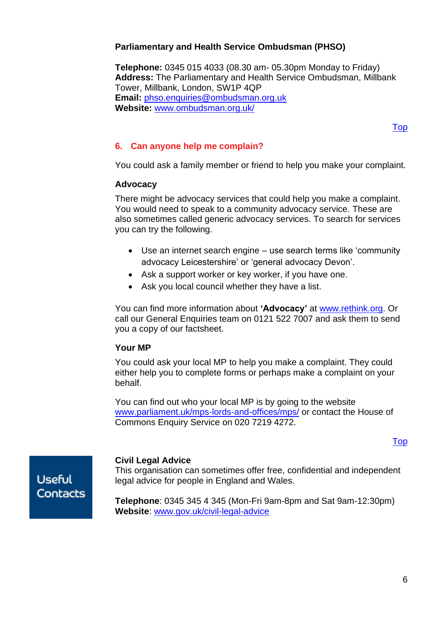# **Parliamentary and Health Service Ombudsman (PHSO)**

**Telephone:** 0345 015 4033 (08.30 am- 05.30pm Monday to Friday) **Address:** The Parliamentary and Health Service Ombudsman, Millbank Tower, Millbank, London, SW1P 4QP **Email:** [phso.enquiries@ombudsman.org.uk](mailto:phso.enquiries@ombudsman.org.uk) **Website:** [www.ombudsman.org.uk/](http://www.ombudsman.org.uk/)

[Top](#page-0-0)

# <span id="page-5-0"></span>**6. Can anyone help me complain?**

You could ask a family member or friend to help you make your complaint.

#### **Advocacy**

There might be advocacy services that could help you make a complaint. You would need to speak to a community advocacy service. These are also sometimes called generic advocacy services. To search for services you can try the following.

- Use an internet search engine use search terms like 'community advocacy Leicestershire' or 'general advocacy Devon'.
- Ask a support worker or key worker, if you have one.
- Ask you local council whether they have a list.

You can find more information about **'Advocacy'** at [www.rethink.org.](file://///Srv-fil05/YKS_NE_EM/EM/Advice%20&%20Information%20Service%20AIS4005/Shared/FACT%20SHEETS/Employment%20Support%20Allowance%20(ESA)%20Factsheet/Review%20Folder/2016/www.rethink.org) Or call our General Enquiries team on 0121 522 7007 and ask them to send you a copy of our factsheet.

### **Your MP**

You could ask your local MP to help you make a complaint. They could either help you to complete forms or perhaps make a complaint on your behalf.

You can find out who your local MP is by going to the website www.parliament.uk/mps-lords-and-offices/mps/ or contact the House of Commons Enquiry Service on 020 7219 4272.

[Top](#page-0-0)

**Useful** Contacts

### **Civil Legal Advice**

This organisation can sometimes offer free, confidential and independent legal advice for people in England and Wales.

**Telephone**: 0345 345 4 345 (Mon-Fri 9am-8pm and Sat 9am-12:30pm) **Website**: [www.gov.uk/civil-legal-advice](http://www.gov.uk/civil-legal-advice)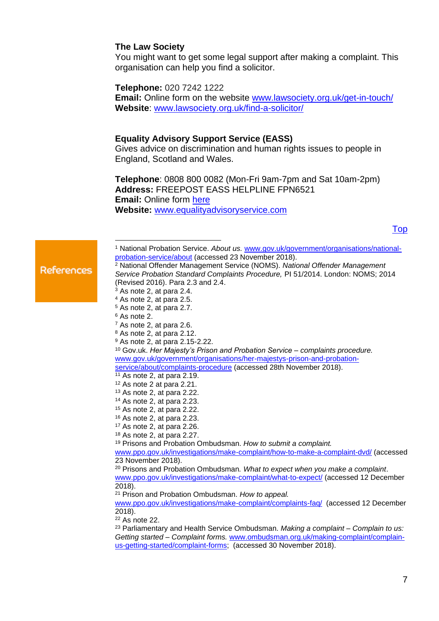#### **The Law Society**

You might want to get some legal support after making a complaint. This organisation can help you find a solicitor.

**Telephone:** 020 7242 1222

**Email:** Online form on the website **www.lawsociety.org.uk/get-in-touch/ Website**: [www.lawsociety.org.uk/find-a-solicitor/](http://www.lawsociety.org.uk/find-a-solicitor/)

#### **Equality Advisory Support Service (EASS)**

Gives advice on discrimination and human rights issues to people in England, Scotland and Wales.

**Telephone**: 0808 800 0082 (Mon-Fri 9am-7pm and Sat 10am-2pm) **Address:** FREEPOST EASS HELPLINE FPN6521 **Email:** Online form [here](http://www.equalityadvisoryservice.com/app/ask) **Website:** [www.equalityadvisoryservice.com](http://www.equalityadvisoryservice.com/)

[Top](#page-0-0)

**References** 

<sup>1</sup> National Probation Service. *About us.* [www.gov.uk/government/organisations/national](http://www.gov.uk/government/organisations/national-probation-service/about)[probation-service/about](http://www.gov.uk/government/organisations/national-probation-service/about) (accessed 23 November 2018).

<sup>2</sup> National Offender Management Service (NOMS). *National Offender Management Service Probation Standard Complaints Procedure,* PI 51/2014. London: NOMS; 2014 (Revised 2016). Para 2.3 and 2.4.

- <sup>5</sup> As note 2, at para 2.7.
- <sup>6</sup> As note 2.
- <sup>7</sup> As note 2, at para 2.6.
- <sup>8</sup> As note 2, at para 2.12.
- <sup>9</sup> As note 2, at para 2.15-2.22.

<sup>10</sup> Gov.uk. *Her Majesty's Prison and Probation Service – complaints procedure.*  [www.gov.uk/government/organisations/her-majestys-prison-and-probation](http://www.gov.uk/government/organisations/her-majestys-prison-and-probation-service/about/complaints-procedure)[service/about/complaints-procedure](http://www.gov.uk/government/organisations/her-majestys-prison-and-probation-service/about/complaints-procedure) (accessed 28th November 2018).

- $11$  As note 2, at para 2.19.
- <sup>12</sup> As note 2 at para 2.21.
- <sup>13</sup> As note 2, at para 2.22.
- <sup>14</sup> As note 2, at para 2.23.
- <sup>15</sup> As note 2, at para 2.22. <sup>16</sup> As note 2, at para 2.23.
- <sup>17</sup> As note 2, at para 2.26.
- 
- <sup>18</sup> As note 2, at para 2.27.

<sup>19</sup> Prisons and Probation Ombudsman. *How to submit a complaint.* 

[www.ppo.gov.uk/investigations/make-complaint/how-to-make-a-complaint-dvd/](http://www.ppo.gov.uk/investigations/make-complaint/how-to-make-a-complaint-dvd/) (accessed 23 November 2018).

<sup>20</sup> Prisons and Probation Ombudsman*. What to expect when you make a complaint*. [www.ppo.gov.uk/investigations/make-complaint/what-to-expect/](http://www.ppo.gov.uk/investigations/make-complaint/what-to-expect/) (accessed 12 December 2018).

<sup>21</sup> Prison and Probation Ombudsman. *How to appeal.* 

[www.ppo.gov.uk/investigations/make-complaint/complaints-faq/](http://www.ppo.gov.uk/investigations/make-complaint/complaints-faq/)(accessed 12 December 2018).

 $22$  As note 22.

<sup>23</sup> Parliamentary and Health Service Ombudsman. *Making a complaint – Complain to us: Getting started – Complaint forms.* [www.ombudsman.org.uk/making-complaint/complain](https://www.ombudsman.org.uk/making-complaint/complain-us-getting-started/complaint-forms)[us-getting-started/complaint-forms;](https://www.ombudsman.org.uk/making-complaint/complain-us-getting-started/complaint-forms) (accessed 30 November 2018).

<sup>3</sup> As note 2, at para 2.4.

<sup>4</sup> As note 2, at para 2.5.